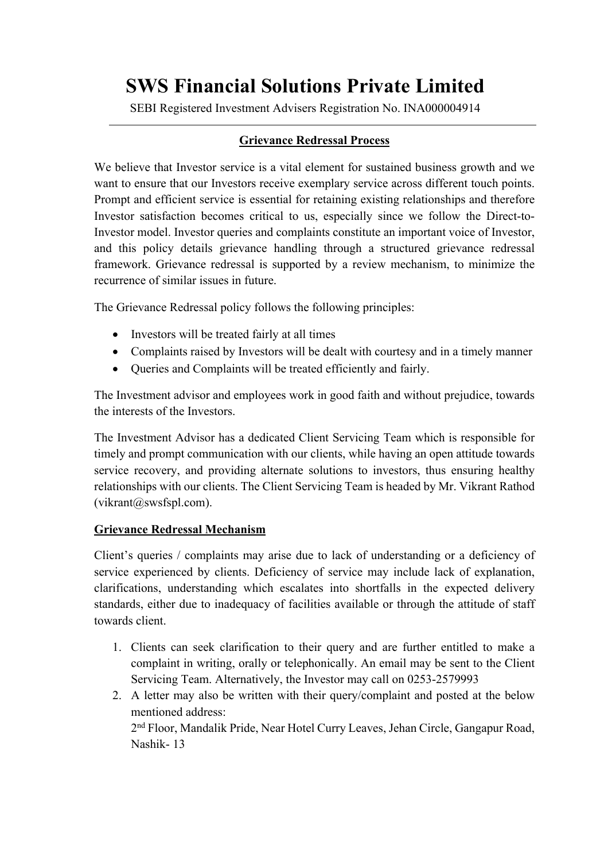## **SWS Financial Solutions Private Limited**

SEBI Registered Investment Advisers Registration No. INA000004914

## **Grievance Redressal Process**

We believe that Investor service is a vital element for sustained business growth and we want to ensure that our Investors receive exemplary service across different touch points. Prompt and efficient service is essential for retaining existing relationships and therefore Investor satisfaction becomes critical to us, especially since we follow the Direct-to-Investor model. Investor queries and complaints constitute an important voice of Investor, and this policy details grievance handling through a structured grievance redressal framework. Grievance redressal is supported by a review mechanism, to minimize the recurrence of similar issues in future.

The Grievance Redressal policy follows the following principles:

- Investors will be treated fairly at all times
- Complaints raised by Investors will be dealt with courtesy and in a timely manner
- Queries and Complaints will be treated efficiently and fairly.

The Investment advisor and employees work in good faith and without prejudice, towards the interests of the Investors.

The Investment Advisor has a dedicated Client Servicing Team which is responsible for timely and prompt communication with our clients, while having an open attitude towards service recovery, and providing alternate solutions to investors, thus ensuring healthy relationships with our clients. The Client Servicing Team is headed by Mr. Vikrant Rathod (vikrant@swsfspl.com).

## **Grievance Redressal Mechanism**

Client's queries / complaints may arise due to lack of understanding or a deficiency of service experienced by clients. Deficiency of service may include lack of explanation, clarifications, understanding which escalates into shortfalls in the expected delivery standards, either due to inadequacy of facilities available or through the attitude of staff towards client.

- 1. Clients can seek clarification to their query and are further entitled to make a complaint in writing, orally or telephonically. An email may be sent to the Client Servicing Team. Alternatively, the Investor may call on 0253-2579993
- 2. A letter may also be written with their query/complaint and posted at the below mentioned address: 2nd Floor, Mandalik Pride, Near Hotel Curry Leaves, Jehan Circle, Gangapur Road, Nashik- 13